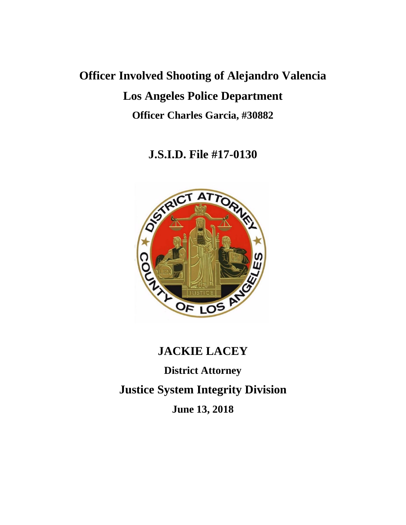# **Officer Involved Shooting of Alejandro Valencia Los Angeles Police Department Officer Charles Garcia, #30882**

**J.S.I.D. File #17-0130**



# **JACKIE LACEY**

**District Attorney**

**Justice System Integrity Division**

**June 13, 2018**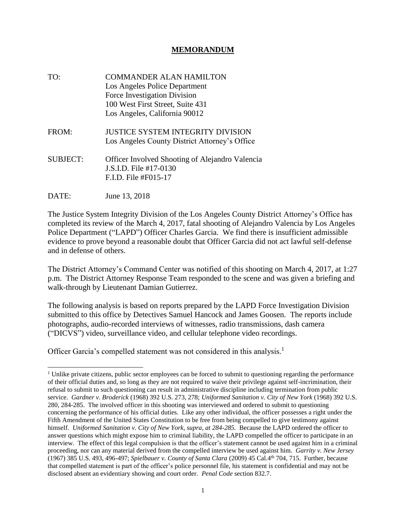#### **MEMORANDUM**

| TO:             | <b>COMMANDER ALAN HAMILTON</b><br>Los Angeles Police Department<br>Force Investigation Division<br>100 West First Street, Suite 431<br>Los Angeles, California 90012 |
|-----------------|----------------------------------------------------------------------------------------------------------------------------------------------------------------------|
| FROM:           | <b>JUSTICE SYSTEM INTEGRITY DIVISION</b><br>Los Angeles County District Attorney's Office                                                                            |
| <b>SUBJECT:</b> | Officer Involved Shooting of Alejandro Valencia<br>J.S.I.D. File #17-0130<br>F.I.D. File #F015-17                                                                    |
| DATE:           | June 13, 2018                                                                                                                                                        |

The Justice System Integrity Division of the Los Angeles County District Attorney's Office has completed its review of the March 4, 2017, fatal shooting of Alejandro Valencia by Los Angeles Police Department ("LAPD") Officer Charles Garcia. We find there is insufficient admissible evidence to prove beyond a reasonable doubt that Officer Garcia did not act lawful self-defense and in defense of others.

The District Attorney's Command Center was notified of this shooting on March 4, 2017, at 1:27 p.m. The District Attorney Response Team responded to the scene and was given a briefing and walk-through by Lieutenant Damian Gutierrez.

The following analysis is based on reports prepared by the LAPD Force Investigation Division submitted to this office by Detectives Samuel Hancock and James Goosen. The reports include photographs, audio-recorded interviews of witnesses, radio transmissions, dash camera ("DICVS") video, surveillance video, and cellular telephone video recordings.

Officer Garcia's compelled statement was not considered in this analysis.<sup>1</sup>

<sup>&</sup>lt;sup> $1$ </sup> Unlike private citizens, public sector employees can be forced to submit to questioning regarding the performance of their official duties and, so long as they are not required to waive their privilege against self-incrimination, their refusal to submit to such questioning can result in administrative discipline including termination from public service. *Gardner v. Broderick* (1968) 392 U.S. 273, 278; *Uniformed Sanitation v. City of New York* (1968) 392 U.S. 280, 284-285. The involved officer in this shooting was interviewed and ordered to submit to questioning concerning the performance of his official duties. Like any other individual, the officer possesses a right under the Fifth Amendment of the United States Constitution to be free from being compelled to give testimony against himself. *Uniformed Sanitation v. City of New York, supra, at 284-285.* Because the LAPD ordered the officer to answer questions which might expose him to criminal liability, the LAPD compelled the officer to participate in an interview. The effect of this legal compulsion is that the officer's statement cannot be used against him in a criminal proceeding, nor can any material derived from the compelled interview be used against him. *Garrity v. New Jersey* (1967) 385 U.S. 493, 496-497; *Spielbauer v. County of Santa Clara* (2009) 45 Cal.4th 704, 715. Further, because that compelled statement is part of the officer's police personnel file, his statement is confidential and may not be disclosed absent an evidentiary showing and court order. *Penal Code* section 832.7.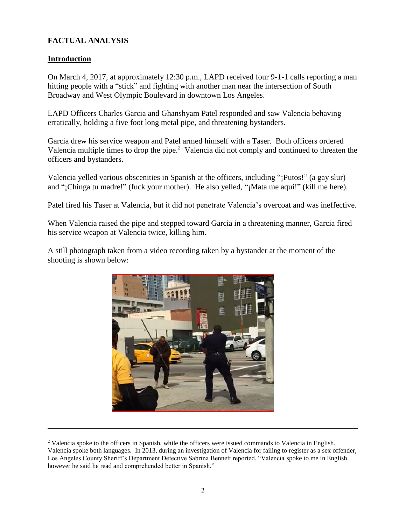# **FACTUAL ANALYSIS**

#### **Introduction**

On March 4, 2017, at approximately 12:30 p.m., LAPD received four 9-1-1 calls reporting a man hitting people with a "stick" and fighting with another man near the intersection of South Broadway and West Olympic Boulevard in downtown Los Angeles.

LAPD Officers Charles Garcia and Ghanshyam Patel responded and saw Valencia behaving erratically, holding a five foot long metal pipe, and threatening bystanders.

Garcia drew his service weapon and Patel armed himself with a Taser. Both officers ordered Valencia multiple times to drop the pipe. $<sup>2</sup>$  Valencia did not comply and continued to threaten the</sup> officers and bystanders.

Valencia yelled various obscenities in Spanish at the officers, including "¡Putos!" (a gay slur) and "¡Chinga tu madre!" (fuck your mother). He also yelled, "¡Mata me aqui!" (kill me here).

Patel fired his Taser at Valencia, but it did not penetrate Valencia's overcoat and was ineffective.

When Valencia raised the pipe and stepped toward Garcia in a threatening manner, Garcia fired his service weapon at Valencia twice, killing him.

A still photograph taken from a video recording taken by a bystander at the moment of the shooting is shown below:



<sup>&</sup>lt;sup>2</sup> Valencia spoke to the officers in Spanish, while the officers were issued commands to Valencia in English. Valencia spoke both languages. In 2013, during an investigation of Valencia for failing to register as a sex offender, Los Angeles County Sheriff's Department Detective Sabrina Bennett reported, "Valencia spoke to me in English, however he said he read and comprehended better in Spanish."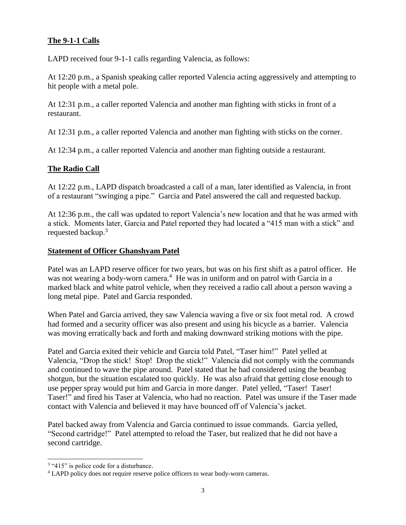#### **The 9-1-1 Calls**

LAPD received four 9-1-1 calls regarding Valencia, as follows:

At 12:20 p.m., a Spanish speaking caller reported Valencia acting aggressively and attempting to hit people with a metal pole.

At 12:31 p.m., a caller reported Valencia and another man fighting with sticks in front of a restaurant.

At 12:31 p.m., a caller reported Valencia and another man fighting with sticks on the corner.

At 12:34 p.m., a caller reported Valencia and another man fighting outside a restaurant.

#### **The Radio Call**

At 12:22 p.m., LAPD dispatch broadcasted a call of a man, later identified as Valencia, in front of a restaurant "swinging a pipe." Garcia and Patel answered the call and requested backup.

At 12:36 p.m., the call was updated to report Valencia's new location and that he was armed with a stick. Moments later, Garcia and Patel reported they had located a "415 man with a stick" and requested backup.<sup>3</sup>

#### **Statement of Officer Ghanshyam Patel**

Patel was an LAPD reserve officer for two years, but was on his first shift as a patrol officer. He was not wearing a body-worn camera.<sup>4</sup> He was in uniform and on patrol with Garcia in a marked black and white patrol vehicle, when they received a radio call about a person waving a long metal pipe. Patel and Garcia responded.

When Patel and Garcia arrived, they saw Valencia waving a five or six foot metal rod. A crowd had formed and a security officer was also present and using his bicycle as a barrier. Valencia was moving erratically back and forth and making downward striking motions with the pipe.

Patel and Garcia exited their vehicle and Garcia told Patel, "Taser him!" Patel yelled at Valencia, "Drop the stick! Stop! Drop the stick!" Valencia did not comply with the commands and continued to wave the pipe around. Patel stated that he had considered using the beanbag shotgun, but the situation escalated too quickly. He was also afraid that getting close enough to use pepper spray would put him and Garcia in more danger. Patel yelled, "Taser! Taser! Taser!" and fired his Taser at Valencia, who had no reaction. Patel was unsure if the Taser made contact with Valencia and believed it may have bounced off of Valencia's jacket.

Patel backed away from Valencia and Garcia continued to issue commands. Garcia yelled, "Second cartridge!" Patel attempted to reload the Taser, but realized that he did not have a second cartridge.

 $\overline{a}$ 

<sup>&</sup>lt;sup>3</sup> "415" is police code for a disturbance.

<sup>&</sup>lt;sup>4</sup> LAPD policy does not require reserve police officers to wear body-worn cameras.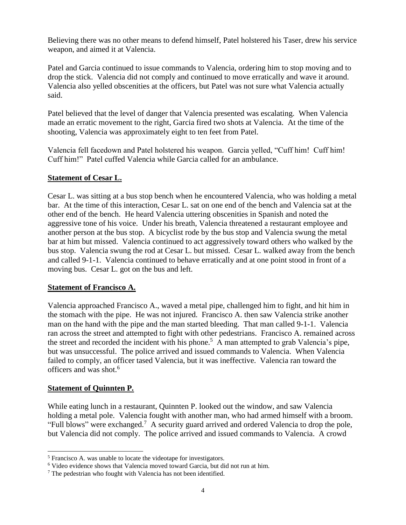Believing there was no other means to defend himself, Patel holstered his Taser, drew his service weapon, and aimed it at Valencia.

Patel and Garcia continued to issue commands to Valencia, ordering him to stop moving and to drop the stick. Valencia did not comply and continued to move erratically and wave it around. Valencia also yelled obscenities at the officers, but Patel was not sure what Valencia actually said.

Patel believed that the level of danger that Valencia presented was escalating. When Valencia made an erratic movement to the right, Garcia fired two shots at Valencia. At the time of the shooting, Valencia was approximately eight to ten feet from Patel.

Valencia fell facedown and Patel holstered his weapon. Garcia yelled, "Cuff him! Cuff him! Cuff him!" Patel cuffed Valencia while Garcia called for an ambulance.

#### **Statement of Cesar L.**

Cesar L. was sitting at a bus stop bench when he encountered Valencia, who was holding a metal bar. At the time of this interaction, Cesar L. sat on one end of the bench and Valencia sat at the other end of the bench. He heard Valencia uttering obscenities in Spanish and noted the aggressive tone of his voice. Under his breath, Valencia threatened a restaurant employee and another person at the bus stop. A bicyclist rode by the bus stop and Valencia swung the metal bar at him but missed. Valencia continued to act aggressively toward others who walked by the bus stop. Valencia swung the rod at Cesar L. but missed. Cesar L. walked away from the bench and called 9-1-1. Valencia continued to behave erratically and at one point stood in front of a moving bus. Cesar L. got on the bus and left.

#### **Statement of Francisco A.**

Valencia approached Francisco A., waved a metal pipe, challenged him to fight, and hit him in the stomach with the pipe. He was not injured. Francisco A. then saw Valencia strike another man on the hand with the pipe and the man started bleeding. That man called 9-1-1. Valencia ran across the street and attempted to fight with other pedestrians. Francisco A. remained across the street and recorded the incident with his phone.<sup>5</sup> A man attempted to grab Valencia's pipe, but was unsuccessful. The police arrived and issued commands to Valencia. When Valencia failed to comply, an officer tased Valencia, but it was ineffective. Valencia ran toward the officers and was shot.<sup>6</sup>

#### **Statement of Quinnten P.**

While eating lunch in a restaurant, Quinnten P. looked out the window, and saw Valencia holding a metal pole. Valencia fought with another man, who had armed himself with a broom. "Full blows" were exchanged.<sup>7</sup> A security guard arrived and ordered Valencia to drop the pole, but Valencia did not comply. The police arrived and issued commands to Valencia. A crowd

<sup>5</sup> Francisco A. was unable to locate the videotape for investigators.

<sup>6</sup> Video evidence shows that Valencia moved toward Garcia, but did not run at him.

<sup>7</sup> The pedestrian who fought with Valencia has not been identified.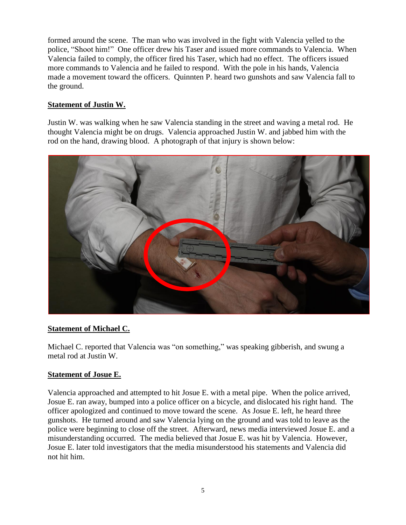formed around the scene. The man who was involved in the fight with Valencia yelled to the police, "Shoot him!" One officer drew his Taser and issued more commands to Valencia. When Valencia failed to comply, the officer fired his Taser, which had no effect. The officers issued more commands to Valencia and he failed to respond. With the pole in his hands, Valencia made a movement toward the officers. Quinnten P. heard two gunshots and saw Valencia fall to the ground.

# **Statement of Justin W.**

Justin W. was walking when he saw Valencia standing in the street and waving a metal rod. He thought Valencia might be on drugs. Valencia approached Justin W. and jabbed him with the rod on the hand, drawing blood. A photograph of that injury is shown below:



#### **Statement of Michael C.**

Michael C. reported that Valencia was "on something," was speaking gibberish, and swung a metal rod at Justin W.

#### **Statement of Josue E.**

Valencia approached and attempted to hit Josue E. with a metal pipe. When the police arrived, Josue E. ran away, bumped into a police officer on a bicycle, and dislocated his right hand. The officer apologized and continued to move toward the scene. As Josue E. left, he heard three gunshots. He turned around and saw Valencia lying on the ground and was told to leave as the police were beginning to close off the street. Afterward, news media interviewed Josue E. and a misunderstanding occurred. The media believed that Josue E. was hit by Valencia. However, Josue E. later told investigators that the media misunderstood his statements and Valencia did not hit him.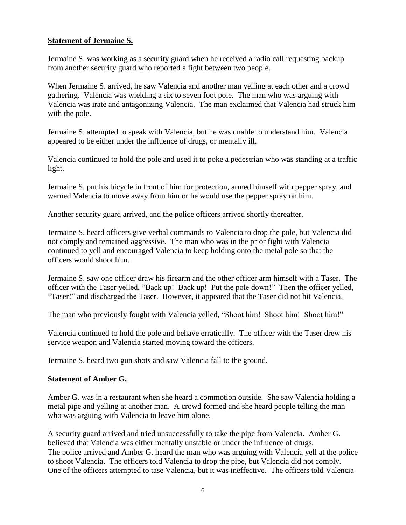#### **Statement of Jermaine S.**

Jermaine S. was working as a security guard when he received a radio call requesting backup from another security guard who reported a fight between two people.

When Jermaine S. arrived, he saw Valencia and another man yelling at each other and a crowd gathering. Valencia was wielding a six to seven foot pole. The man who was arguing with Valencia was irate and antagonizing Valencia. The man exclaimed that Valencia had struck him with the pole.

Jermaine S. attempted to speak with Valencia, but he was unable to understand him. Valencia appeared to be either under the influence of drugs, or mentally ill.

Valencia continued to hold the pole and used it to poke a pedestrian who was standing at a traffic light.

Jermaine S. put his bicycle in front of him for protection, armed himself with pepper spray, and warned Valencia to move away from him or he would use the pepper spray on him.

Another security guard arrived, and the police officers arrived shortly thereafter.

Jermaine S. heard officers give verbal commands to Valencia to drop the pole, but Valencia did not comply and remained aggressive. The man who was in the prior fight with Valencia continued to yell and encouraged Valencia to keep holding onto the metal pole so that the officers would shoot him.

Jermaine S. saw one officer draw his firearm and the other officer arm himself with a Taser. The officer with the Taser yelled, "Back up! Back up! Put the pole down!" Then the officer yelled, "Taser!" and discharged the Taser. However, it appeared that the Taser did not hit Valencia.

The man who previously fought with Valencia yelled, "Shoot him! Shoot him! Shoot him!"

Valencia continued to hold the pole and behave erratically. The officer with the Taser drew his service weapon and Valencia started moving toward the officers.

Jermaine S. heard two gun shots and saw Valencia fall to the ground.

#### **Statement of Amber G.**

Amber G. was in a restaurant when she heard a commotion outside. She saw Valencia holding a metal pipe and yelling at another man. A crowd formed and she heard people telling the man who was arguing with Valencia to leave him alone.

A security guard arrived and tried unsuccessfully to take the pipe from Valencia. Amber G. believed that Valencia was either mentally unstable or under the influence of drugs. The police arrived and Amber G. heard the man who was arguing with Valencia yell at the police to shoot Valencia. The officers told Valencia to drop the pipe, but Valencia did not comply. One of the officers attempted to tase Valencia, but it was ineffective. The officers told Valencia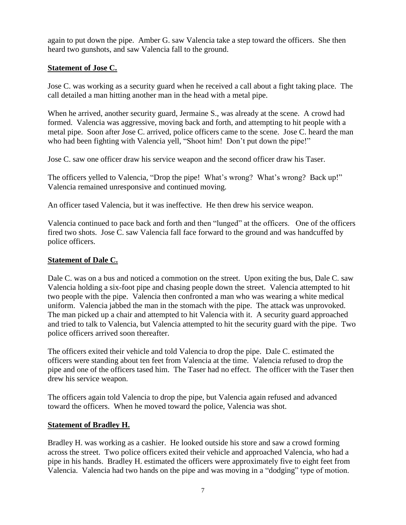again to put down the pipe. Amber G. saw Valencia take a step toward the officers. She then heard two gunshots, and saw Valencia fall to the ground.

# **Statement of Jose C.**

Jose C. was working as a security guard when he received a call about a fight taking place. The call detailed a man hitting another man in the head with a metal pipe.

When he arrived, another security guard, Jermaine S., was already at the scene. A crowd had formed. Valencia was aggressive, moving back and forth, and attempting to hit people with a metal pipe. Soon after Jose C. arrived, police officers came to the scene. Jose C. heard the man who had been fighting with Valencia yell, "Shoot him! Don't put down the pipe!"

Jose C. saw one officer draw his service weapon and the second officer draw his Taser.

The officers yelled to Valencia, "Drop the pipe! What's wrong? What's wrong? Back up!" Valencia remained unresponsive and continued moving.

An officer tased Valencia, but it was ineffective. He then drew his service weapon.

Valencia continued to pace back and forth and then "lunged" at the officers. One of the officers fired two shots. Jose C. saw Valencia fall face forward to the ground and was handcuffed by police officers.

# **Statement of Dale C.**

Dale C. was on a bus and noticed a commotion on the street. Upon exiting the bus, Dale C. saw Valencia holding a six-foot pipe and chasing people down the street. Valencia attempted to hit two people with the pipe. Valencia then confronted a man who was wearing a white medical uniform. Valencia jabbed the man in the stomach with the pipe. The attack was unprovoked. The man picked up a chair and attempted to hit Valencia with it. A security guard approached and tried to talk to Valencia, but Valencia attempted to hit the security guard with the pipe. Two police officers arrived soon thereafter.

The officers exited their vehicle and told Valencia to drop the pipe. Dale C. estimated the officers were standing about ten feet from Valencia at the time. Valencia refused to drop the pipe and one of the officers tased him. The Taser had no effect. The officer with the Taser then drew his service weapon.

The officers again told Valencia to drop the pipe, but Valencia again refused and advanced toward the officers. When he moved toward the police, Valencia was shot.

#### **Statement of Bradley H.**

Bradley H. was working as a cashier. He looked outside his store and saw a crowd forming across the street. Two police officers exited their vehicle and approached Valencia, who had a pipe in his hands. Bradley H. estimated the officers were approximately five to eight feet from Valencia. Valencia had two hands on the pipe and was moving in a "dodging" type of motion.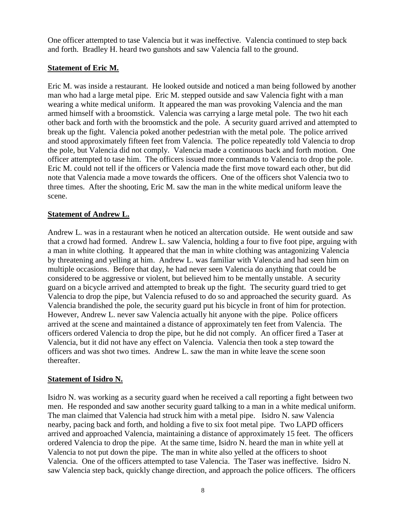One officer attempted to tase Valencia but it was ineffective. Valencia continued to step back and forth. Bradley H. heard two gunshots and saw Valencia fall to the ground.

#### **Statement of Eric M.**

Eric M. was inside a restaurant. He looked outside and noticed a man being followed by another man who had a large metal pipe. Eric M. stepped outside and saw Valencia fight with a man wearing a white medical uniform. It appeared the man was provoking Valencia and the man armed himself with a broomstick. Valencia was carrying a large metal pole. The two hit each other back and forth with the broomstick and the pole. A security guard arrived and attempted to break up the fight. Valencia poked another pedestrian with the metal pole. The police arrived and stood approximately fifteen feet from Valencia. The police repeatedly told Valencia to drop the pole, but Valencia did not comply. Valencia made a continuous back and forth motion. One officer attempted to tase him. The officers issued more commands to Valencia to drop the pole. Eric M. could not tell if the officers or Valencia made the first move toward each other, but did note that Valencia made a move towards the officers. One of the officers shot Valencia two to three times. After the shooting, Eric M. saw the man in the white medical uniform leave the scene.

#### **Statement of Andrew L.**

Andrew L. was in a restaurant when he noticed an altercation outside. He went outside and saw that a crowd had formed. Andrew L. saw Valencia, holding a four to five foot pipe, arguing with a man in white clothing. It appeared that the man in white clothing was antagonizing Valencia by threatening and yelling at him. Andrew L. was familiar with Valencia and had seen him on multiple occasions. Before that day, he had never seen Valencia do anything that could be considered to be aggressive or violent, but believed him to be mentally unstable. A security guard on a bicycle arrived and attempted to break up the fight. The security guard tried to get Valencia to drop the pipe, but Valencia refused to do so and approached the security guard. As Valencia brandished the pole, the security guard put his bicycle in front of him for protection. However, Andrew L. never saw Valencia actually hit anyone with the pipe. Police officers arrived at the scene and maintained a distance of approximately ten feet from Valencia. The officers ordered Valencia to drop the pipe, but he did not comply. An officer fired a Taser at Valencia, but it did not have any effect on Valencia. Valencia then took a step toward the officers and was shot two times. Andrew L. saw the man in white leave the scene soon thereafter.

#### **Statement of Isidro N.**

Isidro N. was working as a security guard when he received a call reporting a fight between two men. He responded and saw another security guard talking to a man in a white medical uniform. The man claimed that Valencia had struck him with a metal pipe. Isidro N. saw Valencia nearby, pacing back and forth, and holding a five to six foot metal pipe. Two LAPD officers arrived and approached Valencia, maintaining a distance of approximately 15 feet. The officers ordered Valencia to drop the pipe. At the same time, Isidro N. heard the man in white yell at Valencia to not put down the pipe. The man in white also yelled at the officers to shoot Valencia. One of the officers attempted to tase Valencia. The Taser was ineffective. Isidro N. saw Valencia step back, quickly change direction, and approach the police officers. The officers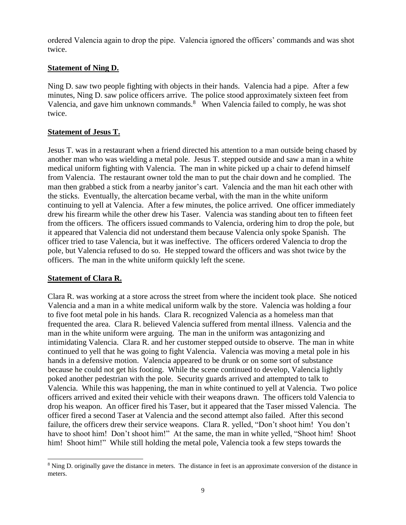ordered Valencia again to drop the pipe. Valencia ignored the officers' commands and was shot twice.

#### **Statement of Ning D.**

Ning D. saw two people fighting with objects in their hands. Valencia had a pipe. After a few minutes, Ning D. saw police officers arrive. The police stood approximately sixteen feet from Valencia, and gave him unknown commands. $8$  When Valencia failed to comply, he was shot twice.

#### **Statement of Jesus T.**

Jesus T. was in a restaurant when a friend directed his attention to a man outside being chased by another man who was wielding a metal pole. Jesus T. stepped outside and saw a man in a white medical uniform fighting with Valencia. The man in white picked up a chair to defend himself from Valencia. The restaurant owner told the man to put the chair down and he complied. The man then grabbed a stick from a nearby janitor's cart. Valencia and the man hit each other with the sticks. Eventually, the altercation became verbal, with the man in the white uniform continuing to yell at Valencia. After a few minutes, the police arrived. One officer immediately drew his firearm while the other drew his Taser. Valencia was standing about ten to fifteen feet from the officers. The officers issued commands to Valencia, ordering him to drop the pole, but it appeared that Valencia did not understand them because Valencia only spoke Spanish. The officer tried to tase Valencia, but it was ineffective. The officers ordered Valencia to drop the pole, but Valencia refused to do so. He stepped toward the officers and was shot twice by the officers. The man in the white uniform quickly left the scene.

#### **Statement of Clara R.**

Clara R. was working at a store across the street from where the incident took place. She noticed Valencia and a man in a white medical uniform walk by the store. Valencia was holding a four to five foot metal pole in his hands. Clara R. recognized Valencia as a homeless man that frequented the area. Clara R. believed Valencia suffered from mental illness. Valencia and the man in the white uniform were arguing. The man in the uniform was antagonizing and intimidating Valencia. Clara R. and her customer stepped outside to observe. The man in white continued to yell that he was going to fight Valencia. Valencia was moving a metal pole in his hands in a defensive motion. Valencia appeared to be drunk or on some sort of substance because he could not get his footing. While the scene continued to develop, Valencia lightly poked another pedestrian with the pole. Security guards arrived and attempted to talk to Valencia. While this was happening, the man in white continued to yell at Valencia. Two police officers arrived and exited their vehicle with their weapons drawn. The officers told Valencia to drop his weapon. An officer fired his Taser, but it appeared that the Taser missed Valencia. The officer fired a second Taser at Valencia and the second attempt also failed. After this second failure, the officers drew their service weapons. Clara R. yelled, "Don't shoot him! You don't have to shoot him! Don't shoot him!" At the same, the man in white yelled, "Shoot him! Shoot him! Shoot him!" While still holding the metal pole, Valencia took a few steps towards the

<sup>8</sup> Ning D. originally gave the distance in meters. The distance in feet is an approximate conversion of the distance in meters.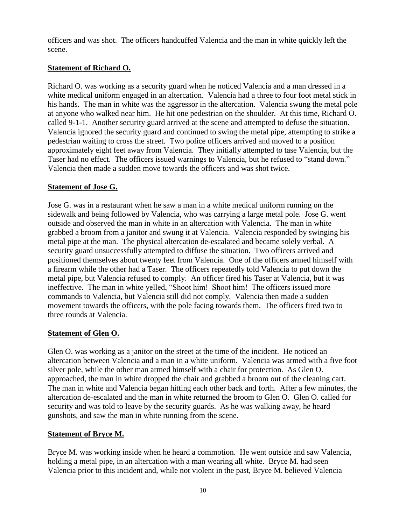officers and was shot. The officers handcuffed Valencia and the man in white quickly left the scene.

# **Statement of Richard O.**

Richard O. was working as a security guard when he noticed Valencia and a man dressed in a white medical uniform engaged in an altercation. Valencia had a three to four foot metal stick in his hands. The man in white was the aggressor in the altercation. Valencia swung the metal pole at anyone who walked near him. He hit one pedestrian on the shoulder. At this time, Richard O. called 9-1-1. Another security guard arrived at the scene and attempted to defuse the situation. Valencia ignored the security guard and continued to swing the metal pipe, attempting to strike a pedestrian waiting to cross the street. Two police officers arrived and moved to a position approximately eight feet away from Valencia. They initially attempted to tase Valencia, but the Taser had no effect. The officers issued warnings to Valencia, but he refused to "stand down." Valencia then made a sudden move towards the officers and was shot twice.

#### **Statement of Jose G.**

Jose G. was in a restaurant when he saw a man in a white medical uniform running on the sidewalk and being followed by Valencia, who was carrying a large metal pole. Jose G. went outside and observed the man in white in an altercation with Valencia. The man in white grabbed a broom from a janitor and swung it at Valencia. Valencia responded by swinging his metal pipe at the man. The physical altercation de-escalated and became solely verbal. A security guard unsuccessfully attempted to diffuse the situation. Two officers arrived and positioned themselves about twenty feet from Valencia. One of the officers armed himself with a firearm while the other had a Taser. The officers repeatedly told Valencia to put down the metal pipe, but Valencia refused to comply. An officer fired his Taser at Valencia, but it was ineffective. The man in white yelled, "Shoot him! Shoot him! The officers issued more commands to Valencia, but Valencia still did not comply. Valencia then made a sudden movement towards the officers, with the pole facing towards them. The officers fired two to three rounds at Valencia.

#### **Statement of Glen O.**

Glen O. was working as a janitor on the street at the time of the incident. He noticed an altercation between Valencia and a man in a white uniform. Valencia was armed with a five foot silver pole, while the other man armed himself with a chair for protection. As Glen O. approached, the man in white dropped the chair and grabbed a broom out of the cleaning cart. The man in white and Valencia began hitting each other back and forth. After a few minutes, the altercation de-escalated and the man in white returned the broom to Glen O. Glen O. called for security and was told to leave by the security guards. As he was walking away, he heard gunshots, and saw the man in white running from the scene.

#### **Statement of Bryce M.**

Bryce M. was working inside when he heard a commotion. He went outside and saw Valencia, holding a metal pipe, in an altercation with a man wearing all white. Bryce M. had seen Valencia prior to this incident and, while not violent in the past, Bryce M. believed Valencia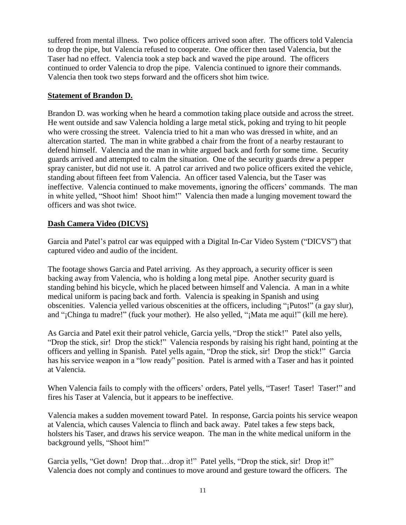suffered from mental illness. Two police officers arrived soon after. The officers told Valencia to drop the pipe, but Valencia refused to cooperate. One officer then tased Valencia, but the Taser had no effect. Valencia took a step back and waved the pipe around. The officers continued to order Valencia to drop the pipe. Valencia continued to ignore their commands. Valencia then took two steps forward and the officers shot him twice.

#### **Statement of Brandon D.**

Brandon D. was working when he heard a commotion taking place outside and across the street. He went outside and saw Valencia holding a large metal stick, poking and trying to hit people who were crossing the street. Valencia tried to hit a man who was dressed in white, and an altercation started. The man in white grabbed a chair from the front of a nearby restaurant to defend himself. Valencia and the man in white argued back and forth for some time. Security guards arrived and attempted to calm the situation. One of the security guards drew a pepper spray canister, but did not use it. A patrol car arrived and two police officers exited the vehicle, standing about fifteen feet from Valencia. An officer tased Valencia, but the Taser was ineffective. Valencia continued to make movements, ignoring the officers' commands. The man in white yelled, "Shoot him! Shoot him!" Valencia then made a lunging movement toward the officers and was shot twice.

#### **Dash Camera Video (DICVS)**

Garcia and Patel's patrol car was equipped with a Digital In-Car Video System ("DICVS") that captured video and audio of the incident.

The footage shows Garcia and Patel arriving. As they approach, a security officer is seen backing away from Valencia, who is holding a long metal pipe. Another security guard is standing behind his bicycle, which he placed between himself and Valencia. A man in a white medical uniform is pacing back and forth. Valencia is speaking in Spanish and using obscenities. Valencia yelled various obscenities at the officers, including "¡Putos!" (a gay slur), and "¡Chinga tu madre!" (fuck your mother). He also yelled, "¡Mata me aqui!" (kill me here).

As Garcia and Patel exit their patrol vehicle, Garcia yells, "Drop the stick!" Patel also yells, "Drop the stick, sir! Drop the stick!" Valencia responds by raising his right hand, pointing at the officers and yelling in Spanish. Patel yells again, "Drop the stick, sir! Drop the stick!" Garcia has his service weapon in a "low ready" position. Patel is armed with a Taser and has it pointed at Valencia.

When Valencia fails to comply with the officers' orders, Patel yells, "Taser! Taser! Taser!" and fires his Taser at Valencia, but it appears to be ineffective.

Valencia makes a sudden movement toward Patel. In response, Garcia points his service weapon at Valencia, which causes Valencia to flinch and back away. Patel takes a few steps back, holsters his Taser, and draws his service weapon. The man in the white medical uniform in the background yells, "Shoot him!"

Garcia yells, "Get down! Drop that…drop it!" Patel yells, "Drop the stick, sir! Drop it!" Valencia does not comply and continues to move around and gesture toward the officers. The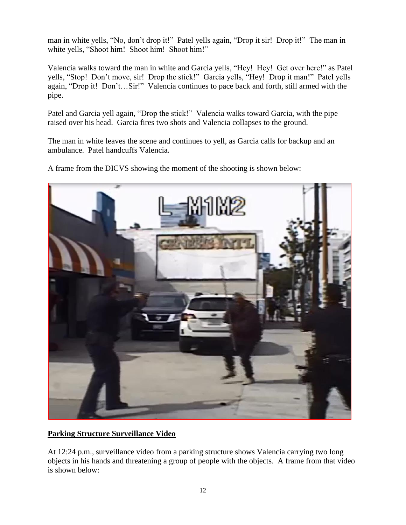man in white yells, "No, don't drop it!" Patel yells again, "Drop it sir! Drop it!" The man in white yells, "Shoot him! Shoot him! Shoot him!"

Valencia walks toward the man in white and Garcia yells, "Hey! Hey! Get over here!" as Patel yells, "Stop! Don't move, sir! Drop the stick!" Garcia yells, "Hey! Drop it man!" Patel yells again, "Drop it! Don't…Sir!" Valencia continues to pace back and forth, still armed with the pipe.

Patel and Garcia yell again, "Drop the stick!" Valencia walks toward Garcia, with the pipe raised over his head. Garcia fires two shots and Valencia collapses to the ground.

The man in white leaves the scene and continues to yell, as Garcia calls for backup and an ambulance. Patel handcuffs Valencia.

A frame from the DICVS showing the moment of the shooting is shown below:



# **Parking Structure Surveillance Video**

At 12:24 p.m., surveillance video from a parking structure shows Valencia carrying two long objects in his hands and threatening a group of people with the objects. A frame from that video is shown below: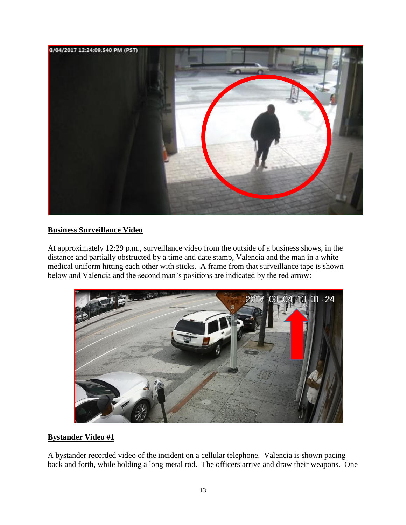

#### **Business Surveillance Video**

At approximately 12:29 p.m., surveillance video from the outside of a business shows, in the distance and partially obstructed by a time and date stamp, Valencia and the man in a white medical uniform hitting each other with sticks. A frame from that surveillance tape is shown below and Valencia and the second man's positions are indicated by the red arrow:



#### **Bystander Video #1**

A bystander recorded video of the incident on a cellular telephone. Valencia is shown pacing back and forth, while holding a long metal rod. The officers arrive and draw their weapons. One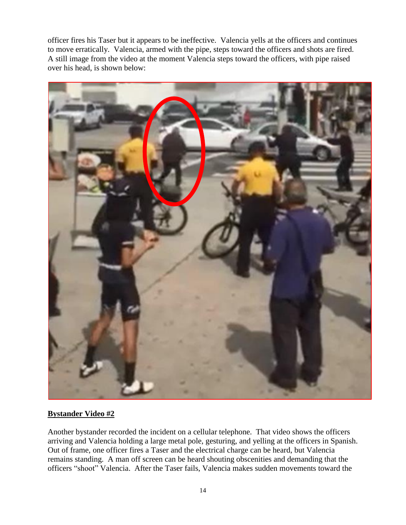officer fires his Taser but it appears to be ineffective. Valencia yells at the officers and continues to move erratically. Valencia, armed with the pipe, steps toward the officers and shots are fired. A still image from the video at the moment Valencia steps toward the officers, with pipe raised over his head, is shown below:



# **Bystander Video #2**

Another bystander recorded the incident on a cellular telephone. That video shows the officers arriving and Valencia holding a large metal pole, gesturing, and yelling at the officers in Spanish. Out of frame, one officer fires a Taser and the electrical charge can be heard, but Valencia remains standing. A man off screen can be heard shouting obscenities and demanding that the officers "shoot" Valencia. After the Taser fails, Valencia makes sudden movements toward the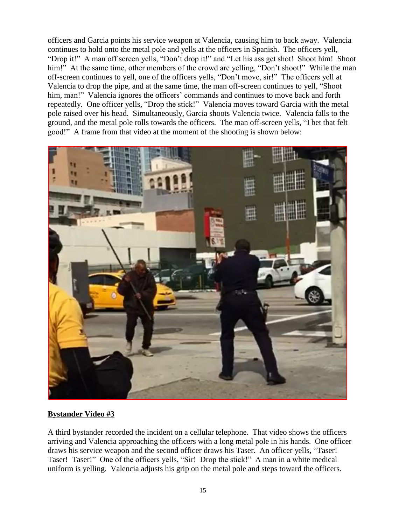officers and Garcia points his service weapon at Valencia, causing him to back away. Valencia continues to hold onto the metal pole and yells at the officers in Spanish. The officers yell, "Drop it!" A man off screen yells, "Don't drop it!" and "Let his ass get shot! Shoot him! Shoot him!" At the same time, other members of the crowd are yelling, "Don't shoot!" While the man off-screen continues to yell, one of the officers yells, "Don't move, sir!" The officers yell at Valencia to drop the pipe, and at the same time, the man off-screen continues to yell, "Shoot him, man!" Valencia ignores the officers' commands and continues to move back and forth repeatedly. One officer yells, "Drop the stick!" Valencia moves toward Garcia with the metal pole raised over his head. Simultaneously, Garcia shoots Valencia twice. Valencia falls to the ground, and the metal pole rolls towards the officers. The man off-screen yells, "I bet that felt good!" A frame from that video at the moment of the shooting is shown below:



#### **Bystander Video #3**

A third bystander recorded the incident on a cellular telephone. That video shows the officers arriving and Valencia approaching the officers with a long metal pole in his hands. One officer draws his service weapon and the second officer draws his Taser. An officer yells, "Taser! Taser! Taser!" One of the officers yells, "Sir! Drop the stick!" A man in a white medical uniform is yelling. Valencia adjusts his grip on the metal pole and steps toward the officers.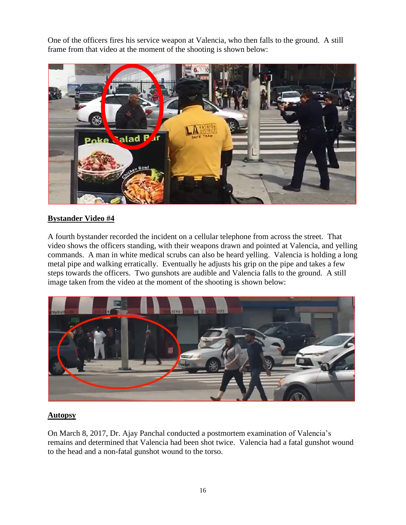One of the officers fires his service weapon at Valencia, who then falls to the ground. A still frame from that video at the moment of the shooting is shown below:



#### **Bystander Video #4**

A fourth bystander recorded the incident on a cellular telephone from across the street. That video shows the officers standing, with their weapons drawn and pointed at Valencia, and yelling commands. A man in white medical scrubs can also be heard yelling. Valencia is holding a long metal pipe and walking erratically. Eventually he adjusts his grip on the pipe and takes a few steps towards the officers. Two gunshots are audible and Valencia falls to the ground. A still image taken from the video at the moment of the shooting is shown below:



#### **Autopsy**

On March 8, 2017, Dr. Ajay Panchal conducted a postmortem examination of Valencia's remains and determined that Valencia had been shot twice. Valencia had a fatal gunshot wound to the head and a non-fatal gunshot wound to the torso.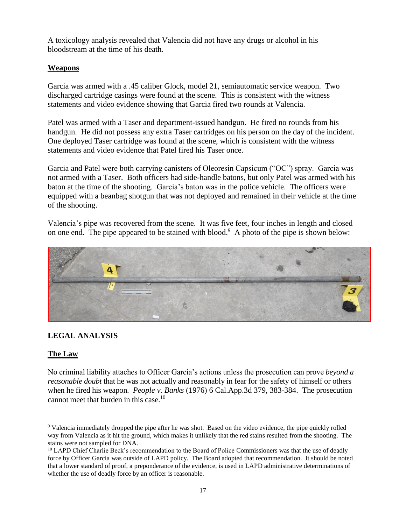A toxicology analysis revealed that Valencia did not have any drugs or alcohol in his bloodstream at the time of his death.

# **Weapons**

Garcia was armed with a .45 caliber Glock, model 21, semiautomatic service weapon. Two discharged cartridge casings were found at the scene. This is consistent with the witness statements and video evidence showing that Garcia fired two rounds at Valencia.

Patel was armed with a Taser and department-issued handgun. He fired no rounds from his handgun. He did not possess any extra Taser cartridges on his person on the day of the incident. One deployed Taser cartridge was found at the scene, which is consistent with the witness statements and video evidence that Patel fired his Taser once.

Garcia and Patel were both carrying canisters of Oleoresin Capsicum ("OC") spray. Garcia was not armed with a Taser. Both officers had side-handle batons, but only Patel was armed with his baton at the time of the shooting. Garcia's baton was in the police vehicle. The officers were equipped with a beanbag shotgun that was not deployed and remained in their vehicle at the time of the shooting.

Valencia's pipe was recovered from the scene. It was five feet, four inches in length and closed on one end. The pipe appeared to be stained with blood.<sup>9</sup> A photo of the pipe is shown below:



# **LEGAL ANALYSIS**

# **The Law**

No criminal liability attaches to Officer Garcia's actions unless the prosecution can prove *beyond a reasonable doubt* that he was not actually and reasonably in fear for the safety of himself or others when he fired his weapon. *People v. Banks* (1976) 6 Cal.App.3d 379, 383-384. The prosecution cannot meet that burden in this case.<sup>10</sup>

<sup>&</sup>lt;sup>9</sup> Valencia immediately dropped the pipe after he was shot. Based on the video evidence, the pipe quickly rolled way from Valencia as it hit the ground, which makes it unlikely that the red stains resulted from the shooting. The stains were not sampled for DNA.

<sup>&</sup>lt;sup>10</sup> LAPD Chief Charlie Beck's recommendation to the Board of Police Commissioners was that the use of deadly force by Officer Garcia was outside of LAPD policy. The Board adopted that recommendation. It should be noted that a lower standard of proof, a preponderance of the evidence, is used in LAPD administrative determinations of whether the use of deadly force by an officer is reasonable.